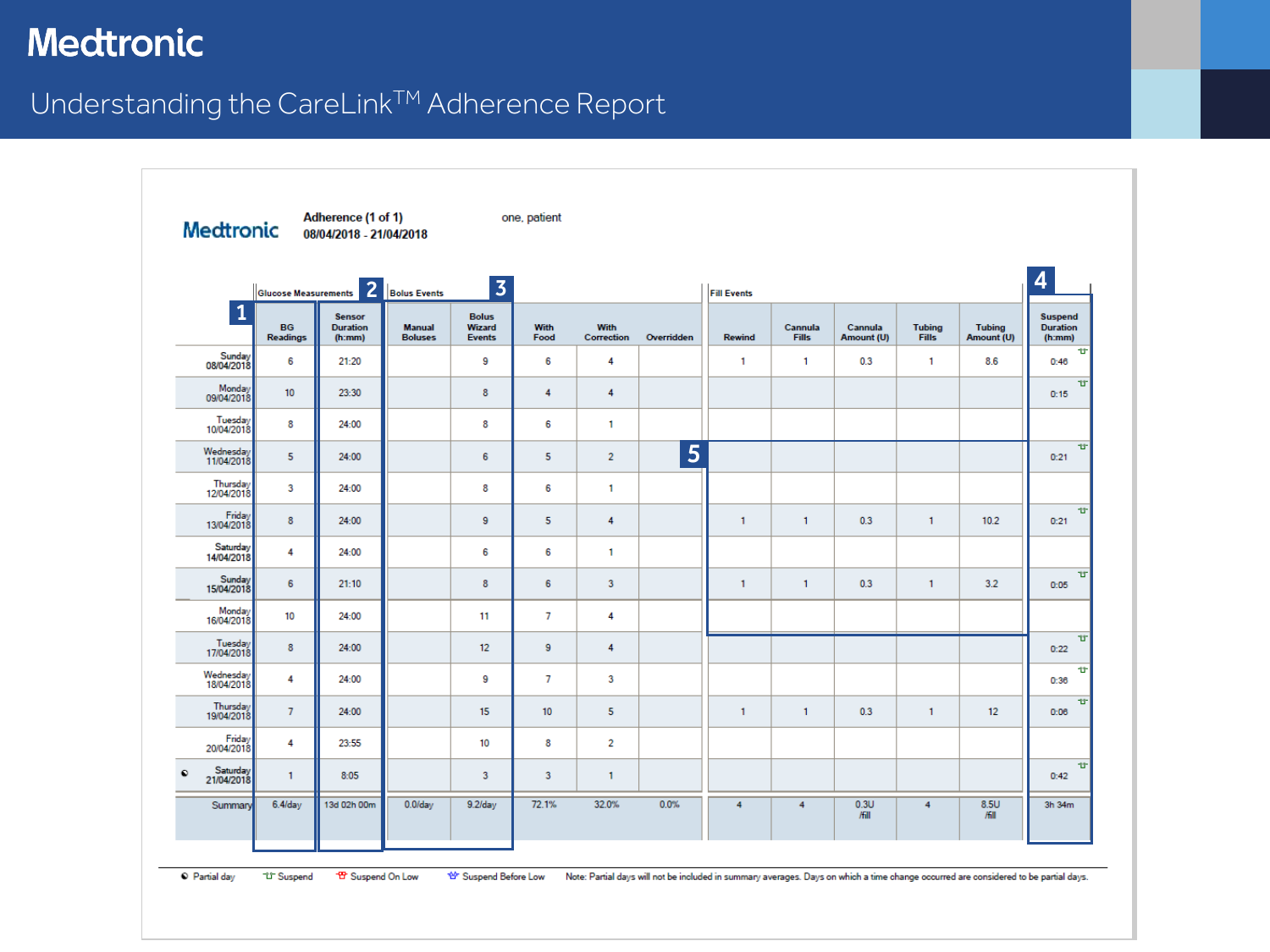## Understanding the CareLink™ Adherence Report

| Medtronic                           |                              | Adherence (1 of 1)<br>08/04/2018 - 21/04/2018 |                                 |                                         | one, patient |                    |            |               |                         |                       |                               |                             |                                      |  |
|-------------------------------------|------------------------------|-----------------------------------------------|---------------------------------|-----------------------------------------|--------------|--------------------|------------|---------------|-------------------------|-----------------------|-------------------------------|-----------------------------|--------------------------------------|--|
|                                     |                              | Glucose Measurements 2 Bolus Events           |                                 | $\overline{\mathbf{3}}$                 |              |                    |            |               | <b>Fill Events</b>      |                       |                               |                             |                                      |  |
| $\mathbf{1}$                        | <b>BG</b><br><b>Readings</b> | <b>Sensor</b><br><b>Duration</b><br>(h:mm)    | <b>Manual</b><br><b>Boluses</b> | <b>Bolus</b><br>Wizard<br><b>Events</b> | With<br>Food | With<br>Correction | Overridden | <b>Rewind</b> | Cannula<br><b>Fills</b> | Cannula<br>Amount (U) | <b>Tubing</b><br><b>Fills</b> | <b>Tubing</b><br>Amount (U) | Suspend<br><b>Duration</b><br>(h:mm) |  |
| Sunday<br>08/04/2018                | 6                            | 21:20                                         |                                 | 9                                       | 6            | 4                  |            | 1             | 1                       | 0.3                   | $\mathbf{1}$                  | 8.6                         | Υ<br>0:46                            |  |
| Monday<br>09/04/2018                | 10                           | 23:30                                         |                                 | 8                                       | 4            | 4                  |            |               |                         |                       |                               |                             | TIT.<br>0:15                         |  |
| Tuesday<br>10/04/2018               | 8                            | 24:00                                         |                                 | 8                                       | 6            | 1                  |            |               |                         |                       |                               |                             |                                      |  |
| Wednesday<br>11/04/2018             | 5                            | 24:00                                         |                                 | 6                                       | 5            | $\overline{2}$     | 5          |               |                         |                       |                               |                             | $\mathbf{u}$<br>0:21                 |  |
| Thursday<br>12/04/2018              | 3                            | 24:00                                         |                                 | 8                                       | 6            | 1                  |            |               |                         |                       |                               |                             |                                      |  |
| Friday<br>13/04/2018                | 8                            | 24:00                                         |                                 | 9                                       | 5            | 4                  |            | 1             | $\mathbf{1}$            | 0.3                   | $\mathbf{1}$                  | 10.2                        | $\mathbf{u}$<br>0:21                 |  |
| Saturday<br>14/04/2018              | 4                            | 24:00                                         |                                 | 6                                       | 6            | 1                  |            |               |                         |                       |                               |                             |                                      |  |
| Sunday<br>15/04/2018                | 6                            | 21:10                                         |                                 | 8                                       | 6            | 3                  |            | $\mathbf{1}$  | $\mathbf{1}$            | 0.3                   | $\mathbf{1}$                  | 3.2                         | <b>U</b><br>0:05                     |  |
| Monday<br>16/04/2018                | 10                           | 24:00                                         |                                 | 11                                      | 7            | 4                  |            |               |                         |                       |                               |                             |                                      |  |
| Tuesday<br>17/04/2018               | 8                            | 24:00                                         |                                 | 12                                      | 9            | 4                  |            |               |                         |                       |                               |                             | υ<br>0:22                            |  |
| Wednesday<br>18/04/2018             | 4                            | 24:00                                         |                                 | 9                                       | 7            | 3                  |            |               |                         |                       |                               |                             | Φ<br>0:36                            |  |
| Thursday<br>19/04/2018              | $\overline{7}$               | 24:00                                         |                                 | 15                                      | 10           | 5                  |            | $\mathbf{1}$  | $\mathbf{1}$            | 0.3                   | $\mathbf{1}$                  | 12                          | 甘<br>0:06                            |  |
| Friday<br>20/04/2018                | 4                            | 23:55                                         |                                 | 10                                      | 8            | 2                  |            |               |                         |                       |                               |                             |                                      |  |
| Saturday<br>21/04/2018<br>$\bullet$ | 1                            | 8:05                                          |                                 | 3                                       | 3            | 1                  |            |               |                         |                       |                               |                             | 廿<br>0:42                            |  |
| Summary                             | $6.4$ /day                   | 13d 02h 00m                                   | $0.0$ /day                      | $9.2$ /day                              | 72.1%        | 32.0%              | 0.0%       | 4             | 4                       | 0.3U<br>/fill         | 4                             | 8.5U<br>/fill               | 3h 34m                               |  |

<sup>O</sup> Partial day <sup>"行</sup> Suspend <sup>- 19</sup> Suspend On Low <sup>\*</sup>≌ੇ Suspend Before Low Note: Partial days will not be included in summary averages. Days on which a time change occurred are considered to be partial days.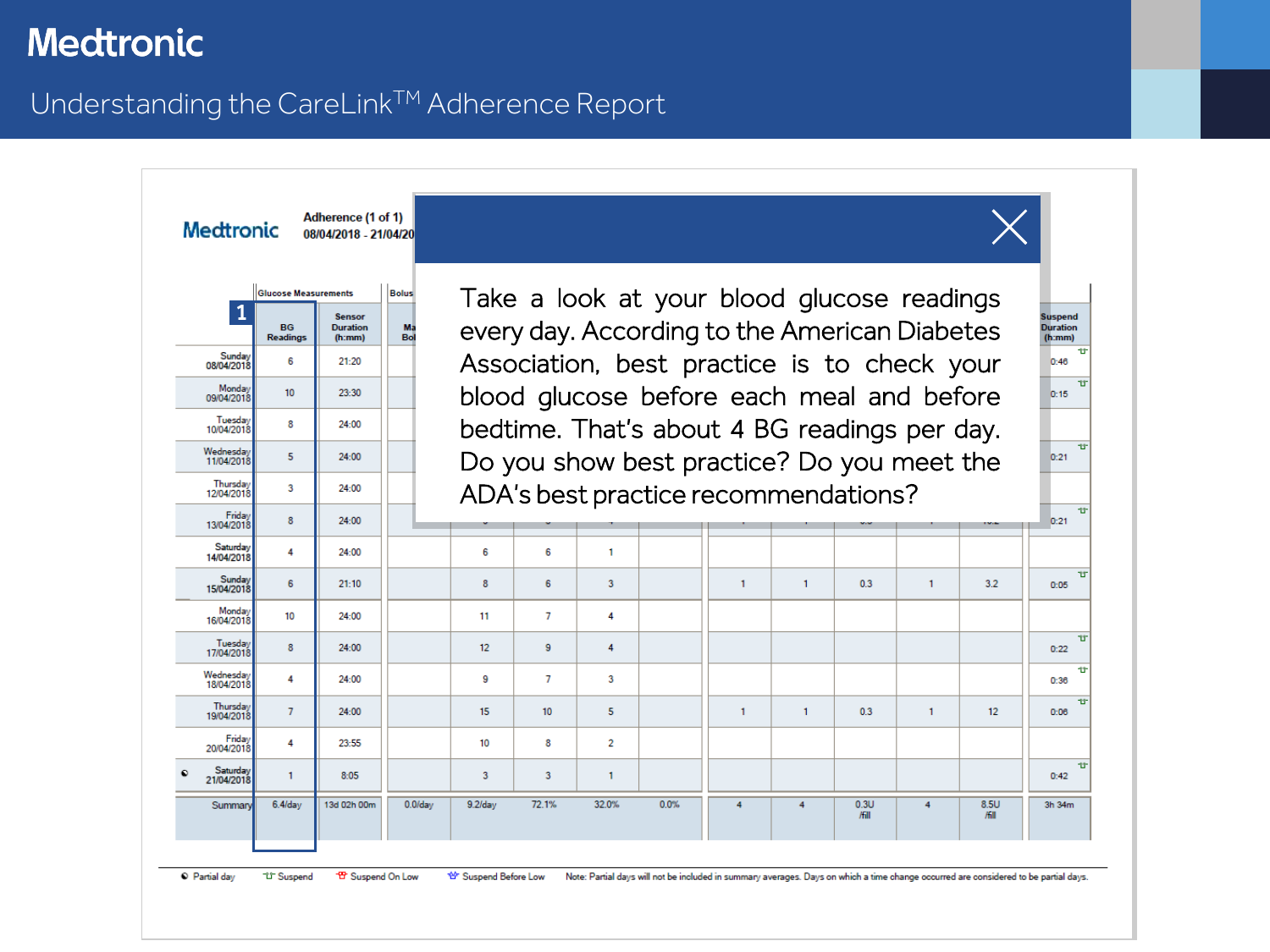#### Understanding the CareLink™ Adherence Report



<sup>12</sup> Suspend 音 Suspend On Low ₩ Suspend Before Low Note: Partial days will not be included in summary averages. Days on which a time change occurred are considered to be partial days.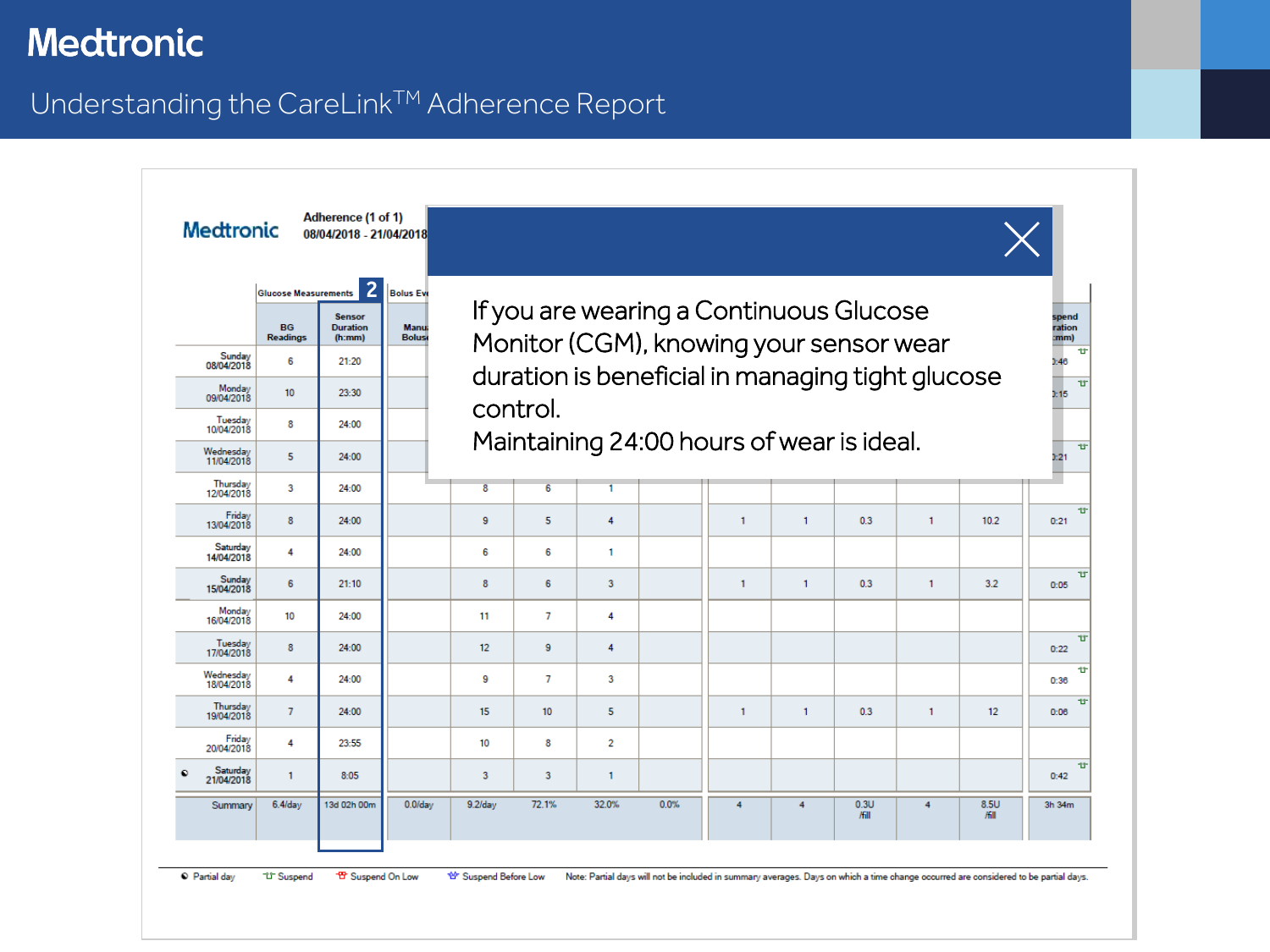## <span id="page-2-0"></span>Understanding the CareLink™ Adherence Report

| <b>Medtronic</b>        |                                                      | 08/04/2018 - 21/04/2018<br>$\overline{2}$  |                                                  |    |          |   |                                                                                    |              |              |     |              |      |                         |
|-------------------------|------------------------------------------------------|--------------------------------------------|--------------------------------------------------|----|----------|---|------------------------------------------------------------------------------------|--------------|--------------|-----|--------------|------|-------------------------|
|                         | <b>Glucose Measurements</b><br><b>BG</b><br>Readings | <b>Sensor</b><br><b>Duration</b><br>(h:mm) | <b>Bolus Eve</b><br><b>Manu</b><br><b>Boluse</b> |    |          |   | If you are wearing a Continuous Glucose<br>Monitor (CGM), knowing your sensor wear |              |              |     |              |      | spend<br>ration<br>:mm) |
| Sunday<br>08/04/2018    | 6                                                    | 21:20                                      |                                                  |    |          |   | duration is beneficial in managing tight glucose                                   |              |              |     |              |      | 1.46                    |
| Monday<br>09/04/2018    | 10 <sup>10</sup>                                     | 23:30                                      |                                                  |    |          |   |                                                                                    |              |              |     |              |      | 1:15                    |
| Tuesday<br>10/04/2018   | 8                                                    | 24:00                                      |                                                  |    | control. |   |                                                                                    |              |              |     |              |      |                         |
| Wednesday<br>11/04/2018 | 5                                                    | 24:00                                      |                                                  |    |          |   | Maintaining 24:00 hours of wear is ideal.                                          |              |              |     |              |      | 1:21                    |
| Thursday<br>12/04/2018  | 3                                                    | 24:00                                      |                                                  | 8  | 6        |   |                                                                                    |              |              |     |              |      |                         |
| Friday<br>13/04/2018    | 8                                                    | 24:00                                      |                                                  | 9  | 5        | 4 |                                                                                    | $\mathbf{1}$ | 1            | 0.3 | $\mathbf{1}$ | 10.2 | 0:21                    |
| Saturday<br>14/04/2018  | 4                                                    | 24:00                                      |                                                  | 6  | 6        | 1 |                                                                                    |              |              |     |              |      |                         |
| Sunday<br>15/04/2018    | 6                                                    | 21:10                                      |                                                  | 8  | 6        | 3 |                                                                                    | $\mathbf{1}$ | $\mathbf{1}$ | 0.3 | $\mathbf{1}$ | 3.2  | 0:05                    |
| Monday<br>16/04/2018    | 10                                                   | 24:00                                      |                                                  | 11 | 7        | 4 |                                                                                    |              |              |     |              |      |                         |
| Tuesday<br>17/04/2018   | 8                                                    | 24:00                                      |                                                  | 12 | 9        | 4 |                                                                                    |              |              |     |              |      | 0:22                    |
| Wednesday<br>18/04/2018 | 4                                                    | 24:00                                      |                                                  | 9  | 7        | 3 |                                                                                    |              |              |     |              |      | 0:36                    |
| Thursday<br>19/04/2018  | $\mathcal{I}$                                        | 24:00                                      |                                                  | 15 | 10       | 5 |                                                                                    | $\mathbf{1}$ | $\mathbf{1}$ | 0.3 | 1            | 12   | 0:06                    |
| Friday<br>20/04/2018    | 4                                                    | 23:55                                      |                                                  | 10 | 8        | 2 |                                                                                    |              |              |     |              |      |                         |
| Saturday                | $\mathbf{1}$                                         | 8:05                                       |                                                  | 3  | 3        | 1 |                                                                                    |              |              |     |              |      | 0:42                    |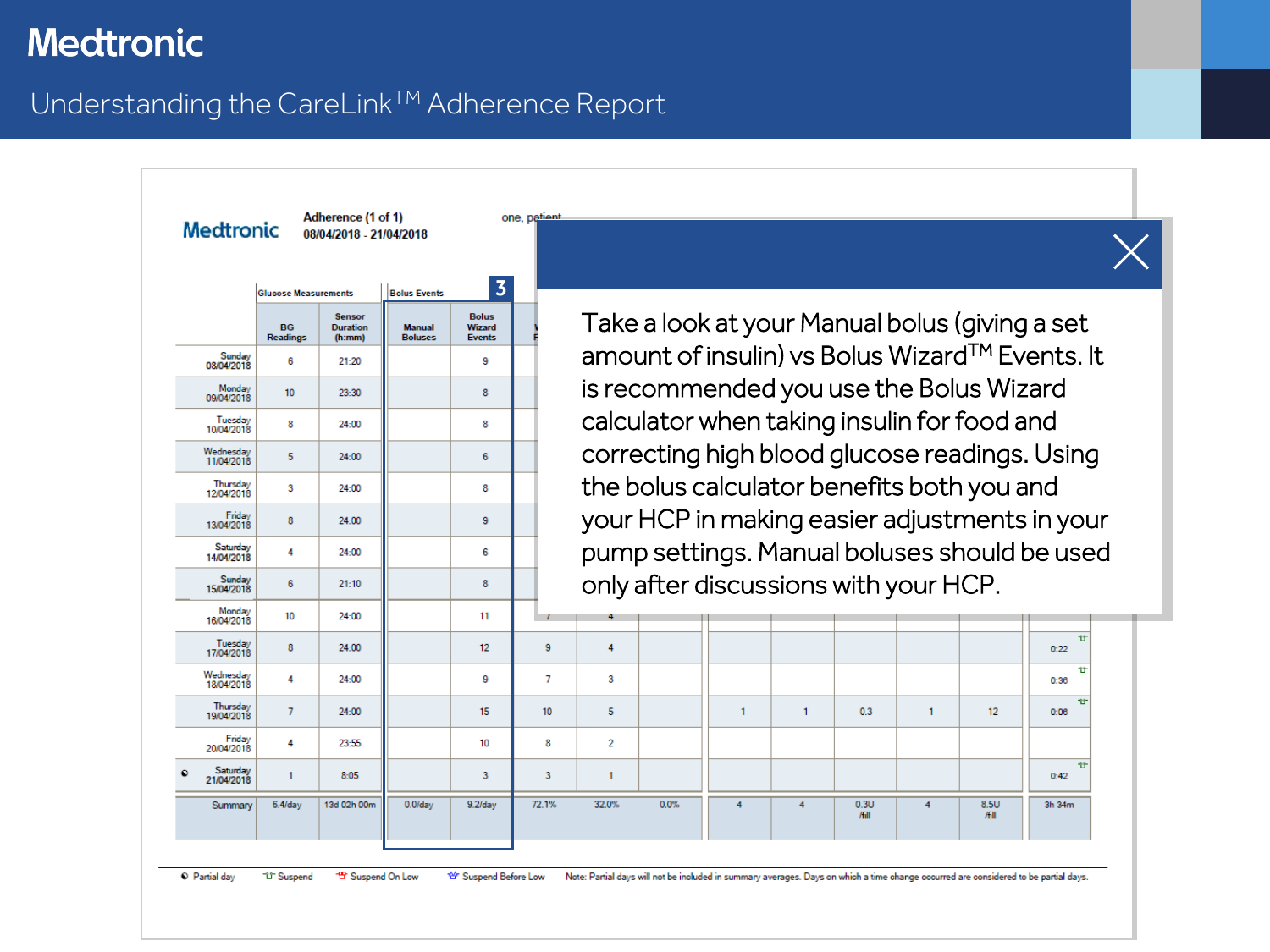#### Understanding the CareLink™ Adherence Report

Adherence (1 of 1) one, patient Medtronic 08/04/2018 - 21/04/2018 3 **Bolus Events Glucose Measurements Bolus Sensor BG Duration** Manual **Wizard Readings**  $(h:mm)$ **Boluses Events** Sunday 6 9 21:20 08/04/2018 Monday  $10<sub>10</sub>$ 23:30 8 09/04/2018 Tuesday 8 8 24:00 10/04/2018 Wednesday  $5<sup>1</sup>$ 6 24:00 11/04/2018 Thursday<br>12/04/2018  $\mathbf{3}$ 24:00 8 Friday<br>13/04/2018 8 24:00 9 Saturday 4 24:00 6 14/04/2018 Sunday<br>15/04/2018 6  $21:10$ 8 Monday  $10<sup>10</sup>$  $24.00$ 11

Take a look at your Manual bolus (giving a set amount of insulin) vs Bolus WizardTM Events. It is recommended you use the Bolus Wizard calculator when taking insulin for food and correcting high blood glucose readings. Using the bolus calculator benefits both you and your HCP in making easier adjustments in your pump settings. Manual boluses should be used only after discussions with your HCP.

| 16/04/2018              | $\sim$         | -----       |            | . .        | . .   |       |         |   |   |               |   |               |           |  |
|-------------------------|----------------|-------------|------------|------------|-------|-------|---------|---|---|---------------|---|---------------|-----------|--|
| Tuesday<br>17/04/2018   | 8              | 24:00       |            | 12         | 9     | 4     |         |   |   |               |   |               | 廿<br>0:22 |  |
| Wednesday<br>18/04/2018 | 4              | 24:00       |            | 9          | v     | 3     |         |   |   |               |   |               | 世<br>0:36 |  |
| Thursday<br>19/04/2018  | $\overline{7}$ | 24:00       |            | 15         | 10    | 5     |         |   |   | 0.3           |   | 12            | T<br>0:06 |  |
| Friday<br>20/04/2018    | 4              | 23:55       |            | 10         | 8     | 2     |         |   |   |               |   |               |           |  |
| Saturday<br>21/04/2018  |                | 8:05        |            | 3          | 3     |       |         |   |   |               |   |               | 世<br>0:42 |  |
| Summary                 | $6.4$ /day     | 13d 02h 00m | $0.0$ /day | $9.2$ /day | 72.1% | 32.0% | $0.0\%$ | 4 | 4 | 0.3U<br>/fill | 4 | 8.5U<br>/fill | 3h 34m    |  |
|                         |                |             |            |            |       |       |         |   |   |               |   |               |           |  |

<sup>O</sup> Partial day 音 Suspend On Low <sup>1</sup><sup>1</sup> Suspend \*\* Suspend Before Low Note: Partial days will not be included in summary averages. Days on which a time change occurred are considered to be partial days.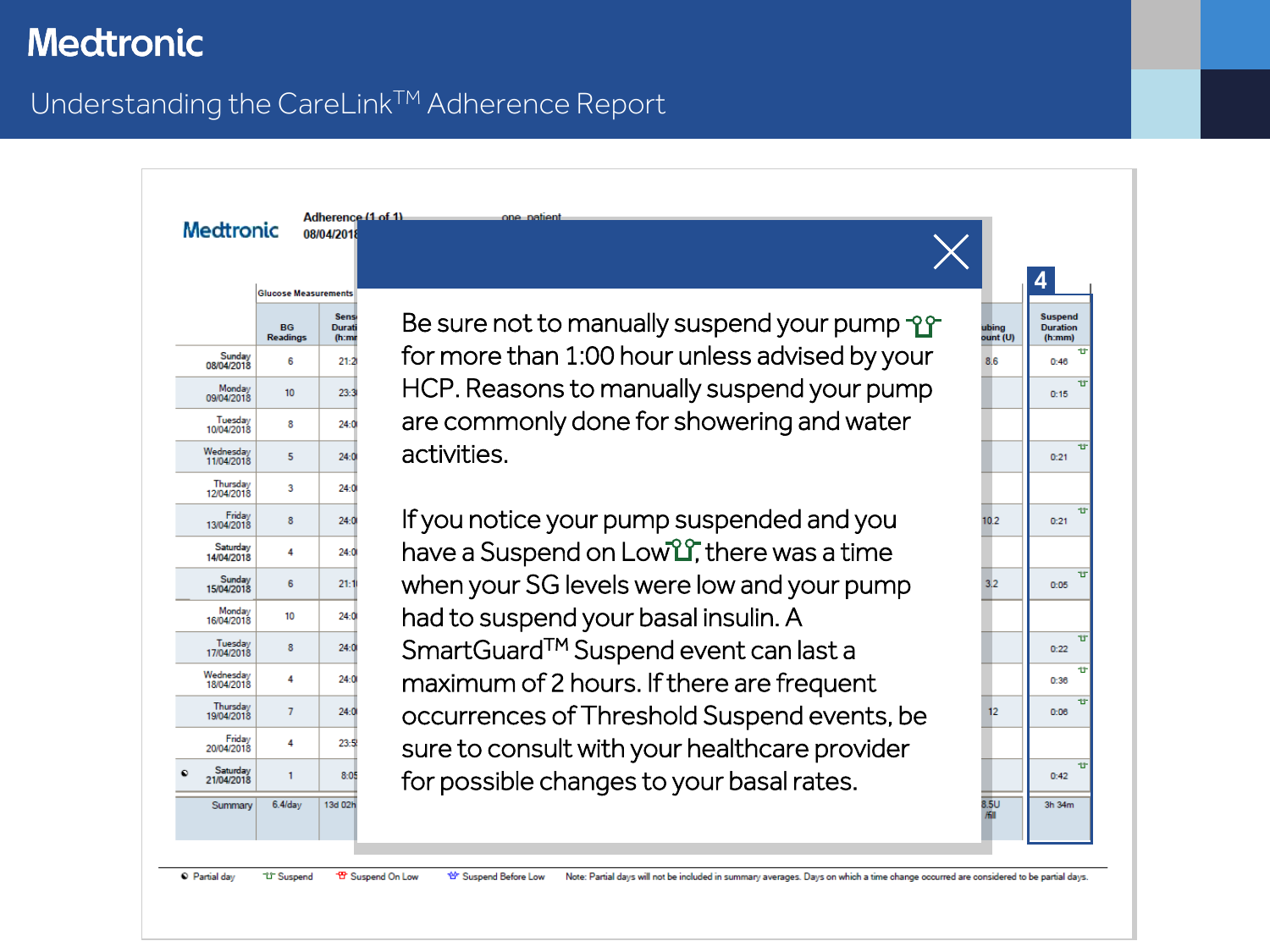## <span id="page-4-0"></span>Understanding the CareLink™ Adherence Report

|                         |                              |                                 | Adherence (1 of 1)<br>one patient                   |                   |                                             |
|-------------------------|------------------------------|---------------------------------|-----------------------------------------------------|-------------------|---------------------------------------------|
| <b>Medtronic</b>        |                              | 08/04/2018                      |                                                     |                   |                                             |
|                         |                              |                                 |                                                     |                   |                                             |
|                         | <b>Glucose Measurements</b>  |                                 |                                                     |                   |                                             |
|                         | <b>BG</b><br><b>Readings</b> | <b>Sens</b><br>Durati<br>(h:nn) | Be sure not to manually suspend your pump -28       | ubing<br>ount (U) | <b>Suspend</b><br><b>Duration</b><br>(h:mm) |
| Sunday<br>08/04/2018    | 6                            | 21:2                            | for more than 1:00 hour unless advised by your      | 8.6               | 0:46                                        |
| Monday<br>09/04/2018    | 10 <sup>10</sup>             | 23:3                            | HCP. Reasons to manually suspend your pump          |                   | 0:15                                        |
| Tuesday<br>10/04/2018   | 8                            | 24:0                            | are commonly done for showering and water           |                   |                                             |
| Wednesdav<br>11/04/2018 | 5                            | 24:0                            | activities.                                         |                   | 0:21                                        |
| Thursday<br>12/04/2018  | 3                            | 24:0                            |                                                     |                   |                                             |
| Friday<br>13/04/2018    | 8                            | 24:0                            | If you notice your pump suspended and you           | 10.2              | 0:21                                        |
| Saturday<br>14/04/2018  | 4                            | 24:0                            | have a Suspend on Low <sup>2</sup> there was a time |                   |                                             |
| Sunday<br>15/04/2018    | 6                            | 21:11                           | when your SG levels were low and your pump          | 3.2               | 0:05                                        |
| Monday<br>16/04/2018    | 10                           | 24:00                           | had to suspend your basal insulin. A                |                   |                                             |
| Tuesday<br>17/04/2018   | 8                            | 24:0                            | SmartGuard <sup>™</sup> Suspend event can last a    |                   | 0:22                                        |
| Wednesday<br>18/04/2018 | 4                            | 24:00                           | maximum of 2 hours. If there are frequent           |                   | 0:36                                        |
| Thursday<br>19/04/2018  | 7                            | 24:0                            | occurrences of Threshold Suspend events, be         | 12                | 0:06                                        |
| Friday<br>20/04/2018    | 4                            | 23:5                            | sure to consult with your healthcare provider       |                   |                                             |
| Saturday<br>21/04/2018  | 1                            | 8:05                            | for possible changes to your basal rates.           |                   | 0.42                                        |
| Summary                 | $6.4$ /day                   | 13d 02h                         |                                                     | 8.5U              | 3h 34m                                      |

Partial day **<sup>12</sup> Suspend** <sup>-19</sup> Suspend On Low 曾 Suspend Before Low Note: Partial days will not be included in summary averages. Days on which a time change occurred are considered to be partial days.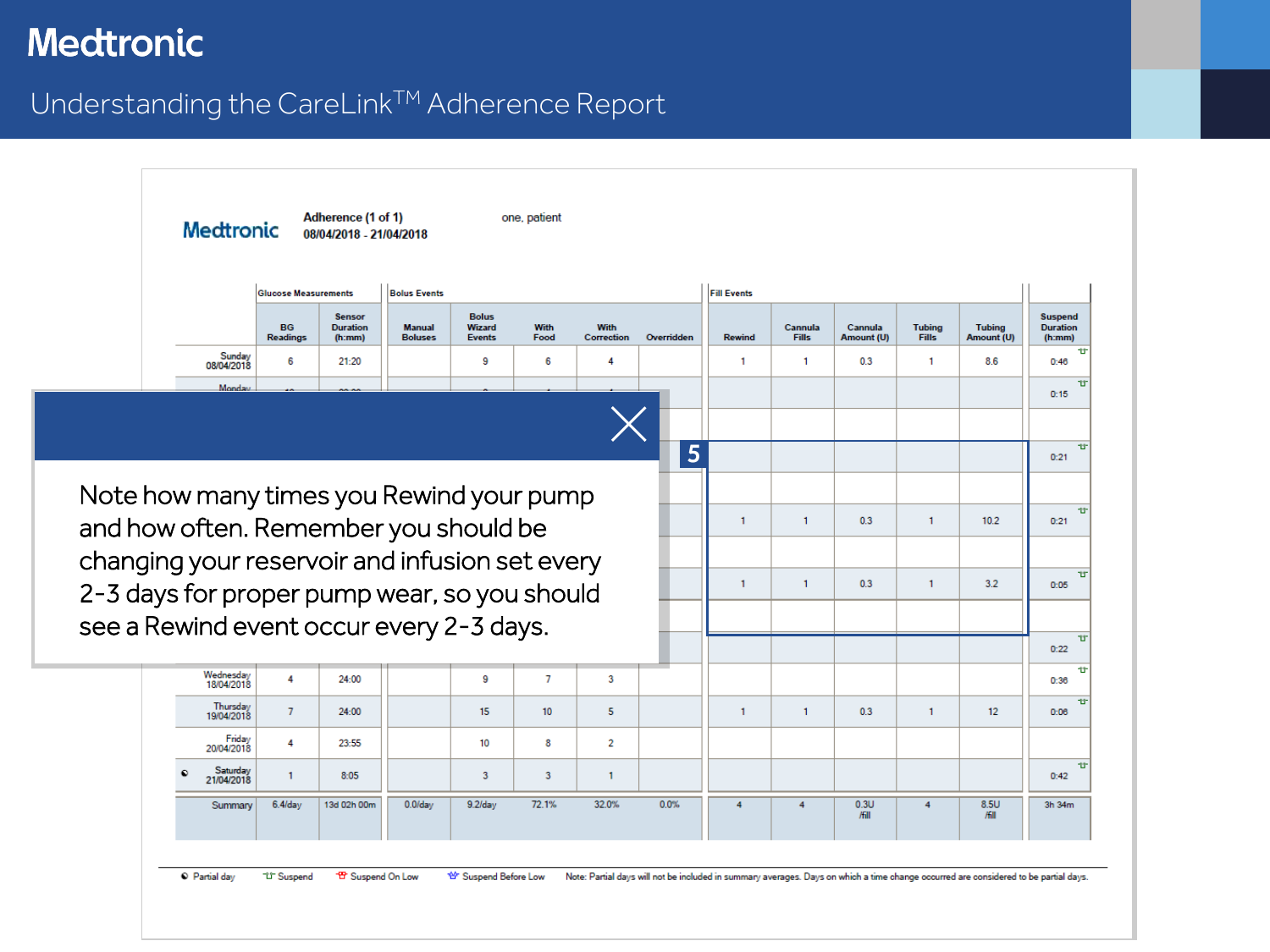<span id="page-5-0"></span>Understanding the CareLink™ Adherence Report